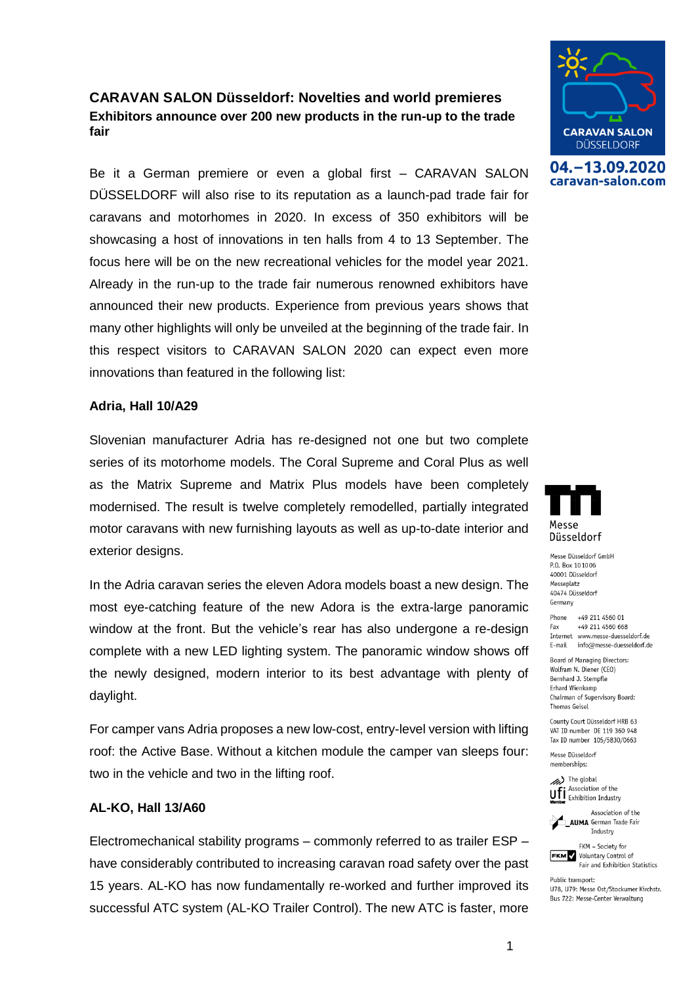# **CARAVAN SALON Düsseldorf: Novelties and world premieres Exhibitors announce over 200 new products in the run-up to the trade fair**

Be it a German premiere or even a global first – CARAVAN SALON DÜSSELDORF will also rise to its reputation as a launch-pad trade fair for caravans and motorhomes in 2020. In excess of 350 exhibitors will be showcasing a host of innovations in ten halls from 4 to 13 September. The focus here will be on the new recreational vehicles for the model year 2021. Already in the run-up to the trade fair numerous renowned exhibitors have announced their new products. Experience from previous years shows that many other highlights will only be unveiled at the beginning of the trade fair. In this respect visitors to CARAVAN SALON 2020 can expect even more innovations than featured in the following list:

## **Adria, Hall 10/A29**

Slovenian manufacturer Adria has re-designed not one but two complete series of its motorhome models. The Coral Supreme and Coral Plus as well as the Matrix Supreme and Matrix Plus models have been completely modernised. The result is twelve completely remodelled, partially integrated motor caravans with new furnishing layouts as well as up-to-date interior and exterior designs.

In the Adria caravan series the eleven Adora models boast a new design. The most eye-catching feature of the new Adora is the extra-large panoramic window at the front. But the vehicle's rear has also undergone a re-design complete with a new LED lighting system. The panoramic window shows off the newly designed, modern interior to its best advantage with plenty of daylight.

For camper vans Adria proposes a new low-cost, entry-level version with lifting roof: the Active Base. Without a kitchen module the camper van sleeps four: two in the vehicle and two in the lifting roof.

### **AL-KO, Hall 13/A60**

Electromechanical stability programs – commonly referred to as trailer ESP – have considerably contributed to increasing caravan road safety over the past 15 years. AL-KO has now fundamentally re-worked and further improved its successful ATC system (AL-KO Trailer Control). The new ATC is faster, more



04. - 13.09.2020 caravan-salon.com



Messe Düsseldorf GmbH P.O. Box 101006 40001 Düsseldorf Messeplatz 40474 Düsseldorf Germany

Phone +49 211 4560 01 +49 211 4560 668 Fax Internet www.messe-duesseldorf.de E-mail info@messe-duesseldorf.de

Board of Managing Directors: Wolfram N. Diener (CEO) Bernhard J. Stempfle Erhard Wienkamp Chairman of Supervisory Board: **Thomas Geisel** 

County Court Düsseldorf HRB 63 VAT ID number DE 119 360 948 Tax ID number 105/5830/0663

Messe Düsseldorf memberships:

> The global Association of the **Uff** Association of the<br>**Member** Exhibition Industry

Association of the **AUMA** German Trade Fair Industry

FKM - Society for **FKM** Voluntary Control of Fair and Exhibition Statistics

Public transport: U78, U79: Messe Ost/Stockumer Kirchstr. Bus 722: Messe-Center Verwaltung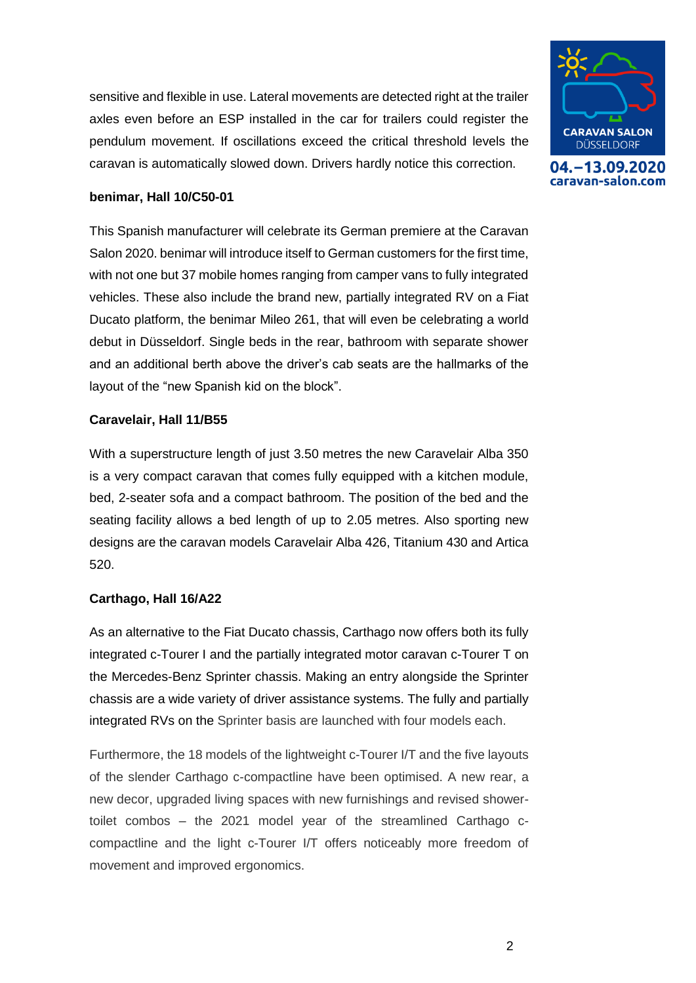sensitive and flexible in use. Lateral movements are detected right at the trailer axles even before an ESP installed in the car for trailers could register the pendulum movement. If oscillations exceed the critical threshold levels the caravan is automatically slowed down. Drivers hardly notice this correction.



04. - 13.09.2020 caravan-salon.com

### **benimar, Hall 10/C50-01**

This Spanish manufacturer will celebrate its German premiere at the Caravan Salon 2020. benimar will introduce itself to German customers for the first time, with not one but 37 mobile homes ranging from camper vans to fully integrated vehicles. These also include the brand new, partially integrated RV on a Fiat Ducato platform, the benimar Mileo 261, that will even be celebrating a world debut in Düsseldorf. Single beds in the rear, bathroom with separate shower and an additional berth above the driver's cab seats are the hallmarks of the layout of the "new Spanish kid on the block".

### **Caravelair, Hall 11/B55**

With a superstructure length of just 3.50 metres the new Caravelair Alba 350 is a very compact caravan that comes fully equipped with a kitchen module, bed, 2-seater sofa and a compact bathroom. The position of the bed and the seating facility allows a bed length of up to 2.05 metres. Also sporting new designs are the caravan models Caravelair Alba 426, Titanium 430 and Artica 520.

## **Carthago, Hall 16/A22**

As an alternative to the Fiat Ducato chassis, Carthago now offers both its fully integrated c-Tourer I and the partially integrated motor caravan c-Tourer T on the Mercedes-Benz Sprinter chassis. Making an entry alongside the Sprinter chassis are a wide variety of driver assistance systems. The fully and partially integrated RVs on the Sprinter basis are launched with four models each.

Furthermore, the 18 models of the lightweight c-Tourer I/T and the five layouts of the slender Carthago c-compactline have been optimised. A new rear, a new decor, upgraded living spaces with new furnishings and revised showertoilet combos – the 2021 model year of the streamlined Carthago ccompactline and the light c-Tourer I/T offers noticeably more freedom of movement and improved ergonomics.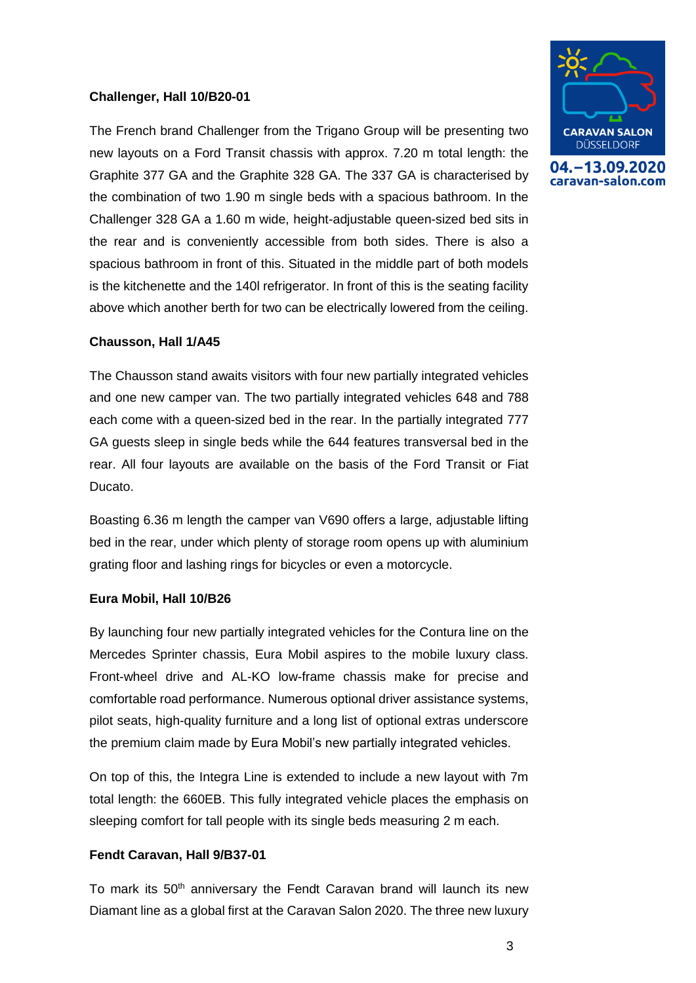### **Challenger, Hall 10/B20-01**

The French brand Challenger from the Trigano Group will be presenting two new layouts on a Ford Transit chassis with approx. 7.20 m total length: the Graphite 377 GA and the Graphite 328 GA. The 337 GA is characterised by the combination of two 1.90 m single beds with a spacious bathroom. In the Challenger 328 GA a 1.60 m wide, height-adjustable queen-sized bed sits in the rear and is conveniently accessible from both sides. There is also a spacious bathroom in front of this. Situated in the middle part of both models is the kitchenette and the 140l refrigerator. In front of this is the seating facility above which another berth for two can be electrically lowered from the ceiling.

### **Chausson, Hall 1/A45**

The Chausson stand awaits visitors with four new partially integrated vehicles and one new camper van. The two partially integrated vehicles 648 and 788 each come with a queen-sized bed in the rear. In the partially integrated 777 GA guests sleep in single beds while the 644 features transversal bed in the rear. All four layouts are available on the basis of the Ford Transit or Fiat Ducato.

Boasting 6.36 m length the camper van V690 offers a large, adjustable lifting bed in the rear, under which plenty of storage room opens up with aluminium grating floor and lashing rings for bicycles or even a motorcycle.

### **Eura Mobil, Hall 10/B26**

By launching four new partially integrated vehicles for the Contura line on the Mercedes Sprinter chassis, Eura Mobil aspires to the mobile luxury class. Front-wheel drive and AL-KO low-frame chassis make for precise and comfortable road performance. Numerous optional driver assistance systems, pilot seats, high-quality furniture and a long list of optional extras underscore the premium claim made by Eura Mobil's new partially integrated vehicles.

On top of this, the Integra Line is extended to include a new layout with 7m total length: the 660EB. This fully integrated vehicle places the emphasis on sleeping comfort for tall people with its single beds measuring 2 m each.

### **Fendt Caravan, Hall 9/B37-01**

To mark its 50<sup>th</sup> anniversary the Fendt Caravan brand will launch its new Diamant line as a global first at the Caravan Salon 2020. The three new luxury



04. - 13.09.2020 caravan-salon.com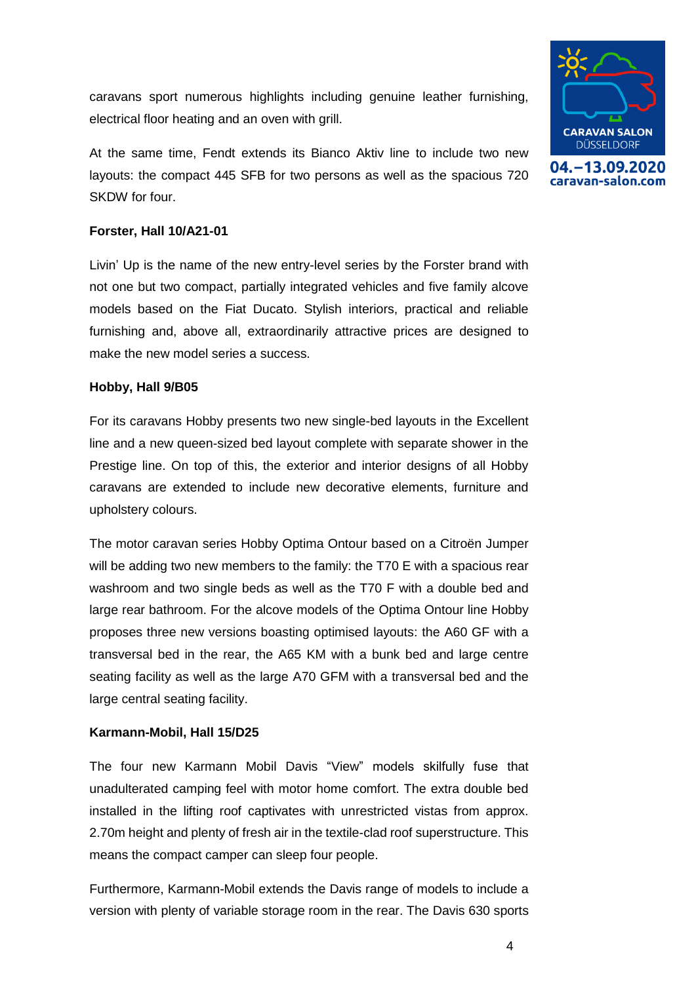caravans sport numerous highlights including genuine leather furnishing, electrical floor heating and an oven with grill.

At the same time, Fendt extends its Bianco Aktiv line to include two new layouts: the compact 445 SFB for two persons as well as the spacious 720 SKDW for four.

## **Forster, Hall 10/A21-01**

Livin' Up is the name of the new entry-level series by the Forster brand with not one but two compact, partially integrated vehicles and five family alcove models based on the Fiat Ducato. Stylish interiors, practical and reliable furnishing and, above all, extraordinarily attractive prices are designed to make the new model series a success.

## **Hobby, Hall 9/B05**

For its caravans Hobby presents two new single-bed layouts in the Excellent line and a new queen-sized bed layout complete with separate shower in the Prestige line. On top of this, the exterior and interior designs of all Hobby caravans are extended to include new decorative elements, furniture and upholstery colours.

The motor caravan series Hobby Optima Ontour based on a Citroën Jumper will be adding two new members to the family: the T70 E with a spacious rear washroom and two single beds as well as the T70 F with a double bed and large rear bathroom. For the alcove models of the Optima Ontour line Hobby proposes three new versions boasting optimised layouts: the A60 GF with a transversal bed in the rear, the A65 KM with a bunk bed and large centre seating facility as well as the large A70 GFM with a transversal bed and the large central seating facility.

## **Karmann-Mobil, Hall 15/D25**

The four new Karmann Mobil Davis "View" models skilfully fuse that unadulterated camping feel with motor home comfort. The extra double bed installed in the lifting roof captivates with unrestricted vistas from approx. 2.70m height and plenty of fresh air in the textile-clad roof superstructure. This means the compact camper can sleep four people.

Furthermore, Karmann-Mobil extends the Davis range of models to include a version with plenty of variable storage room in the rear. The Davis 630 sports

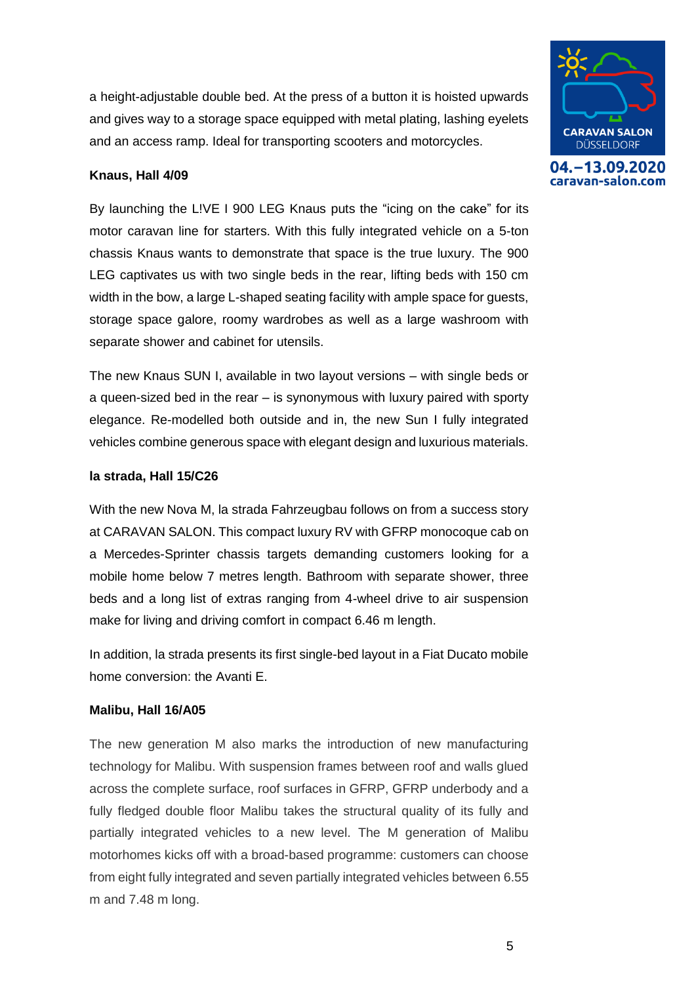a height-adjustable double bed. At the press of a button it is hoisted upwards and gives way to a storage space equipped with metal plating, lashing eyelets and an access ramp. Ideal for transporting scooters and motorcycles.

## **Knaus, Hall 4/09**

By launching the L!VE I 900 LEG Knaus puts the "icing on the cake" for its motor caravan line for starters. With this fully integrated vehicle on a 5-ton chassis Knaus wants to demonstrate that space is the true luxury. The 900 LEG captivates us with two single beds in the rear, lifting beds with 150 cm width in the bow, a large L-shaped seating facility with ample space for guests, storage space galore, roomy wardrobes as well as a large washroom with separate shower and cabinet for utensils.

The new Knaus SUN I, available in two layout versions – with single beds or a queen-sized bed in the rear – is synonymous with luxury paired with sporty elegance. Re-modelled both outside and in, the new Sun I fully integrated vehicles combine generous space with elegant design and luxurious materials.

## **la strada, Hall 15/C26**

With the new Nova M, la strada Fahrzeugbau follows on from a success story at CARAVAN SALON. This compact luxury RV with GFRP monocoque cab on a Mercedes-Sprinter chassis targets demanding customers looking for a mobile home below 7 metres length. Bathroom with separate shower, three beds and a long list of extras ranging from 4-wheel drive to air suspension make for living and driving comfort in compact 6.46 m length.

In addition, la strada presents its first single-bed layout in a Fiat Ducato mobile home conversion: the Avanti E.

## **Malibu, Hall 16/A05**

The new generation M also marks the introduction of new manufacturing technology for Malibu. With suspension frames between roof and walls glued across the complete surface, roof surfaces in GFRP, GFRP underbody and a fully fledged double floor Malibu takes the structural quality of its fully and partially integrated vehicles to a new level. The M generation of Malibu motorhomes kicks off with a broad-based programme: customers can choose from eight fully integrated and seven partially integrated vehicles between 6.55 m and 7.48 m long.



04. - 13.09.2020 caravan-salon.com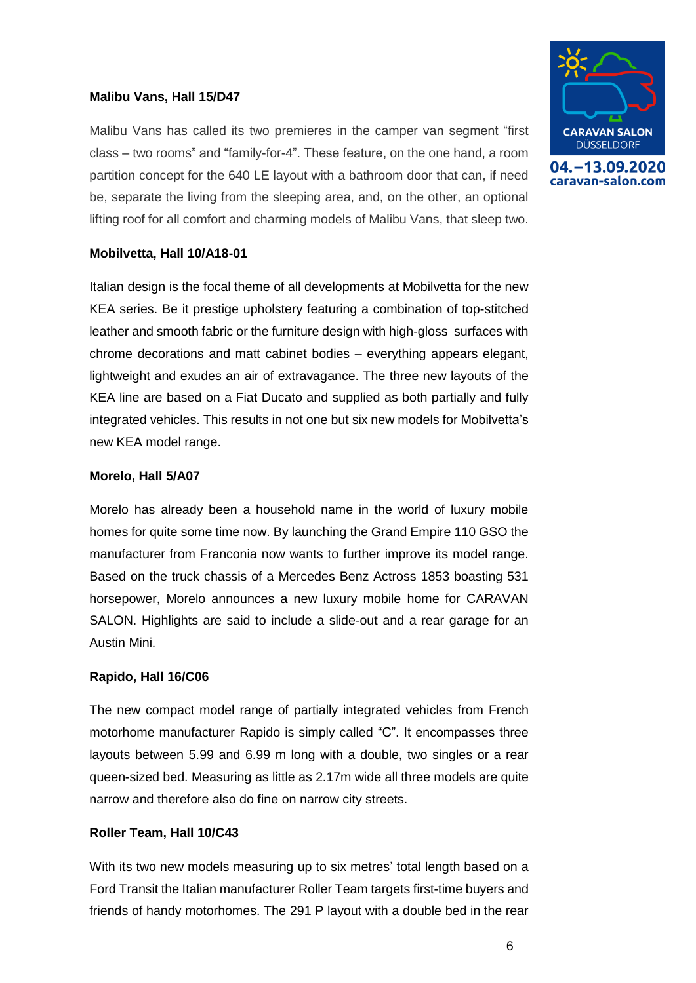## **Malibu Vans, Hall 15/D47**

Malibu Vans has called its two premieres in the camper van segment "first class – two rooms" and "family-for-4". These feature, on the one hand, a room partition concept for the 640 LE layout with a bathroom door that can, if need be, separate the living from the sleeping area, and, on the other, an optional lifting roof for all comfort and charming models of Malibu Vans, that sleep two.



Italian design is the focal theme of all developments at Mobilvetta for the new KEA series. Be it prestige upholstery featuring a combination of top-stitched leather and smooth fabric or the furniture design with high-gloss surfaces with chrome decorations and matt cabinet bodies – everything appears elegant, lightweight and exudes an air of extravagance. The three new layouts of the KEA line are based on a Fiat Ducato and supplied as both partially and fully integrated vehicles. This results in not one but six new models for Mobilvetta's new KEA model range.

## **Morelo, Hall 5/A07**

Morelo has already been a household name in the world of luxury mobile homes for quite some time now. By launching the Grand Empire 110 GSO the manufacturer from Franconia now wants to further improve its model range. Based on the truck chassis of a Mercedes Benz Actross 1853 boasting 531 horsepower, Morelo announces a new luxury mobile home for CARAVAN SALON. Highlights are said to include a slide-out and a rear garage for an Austin Mini.

## **Rapido, Hall 16/C06**

The new compact model range of partially integrated vehicles from French motorhome manufacturer Rapido is simply called "C". It encompasses three layouts between 5.99 and 6.99 m long with a double, two singles or a rear queen-sized bed. Measuring as little as 2.17m wide all three models are quite narrow and therefore also do fine on narrow city streets.

## **Roller Team, Hall 10/C43**

With its two new models measuring up to six metres' total length based on a Ford Transit the Italian manufacturer Roller Team targets first-time buyers and friends of handy motorhomes. The 291 P layout with a double bed in the rear



6



caravan-salon.com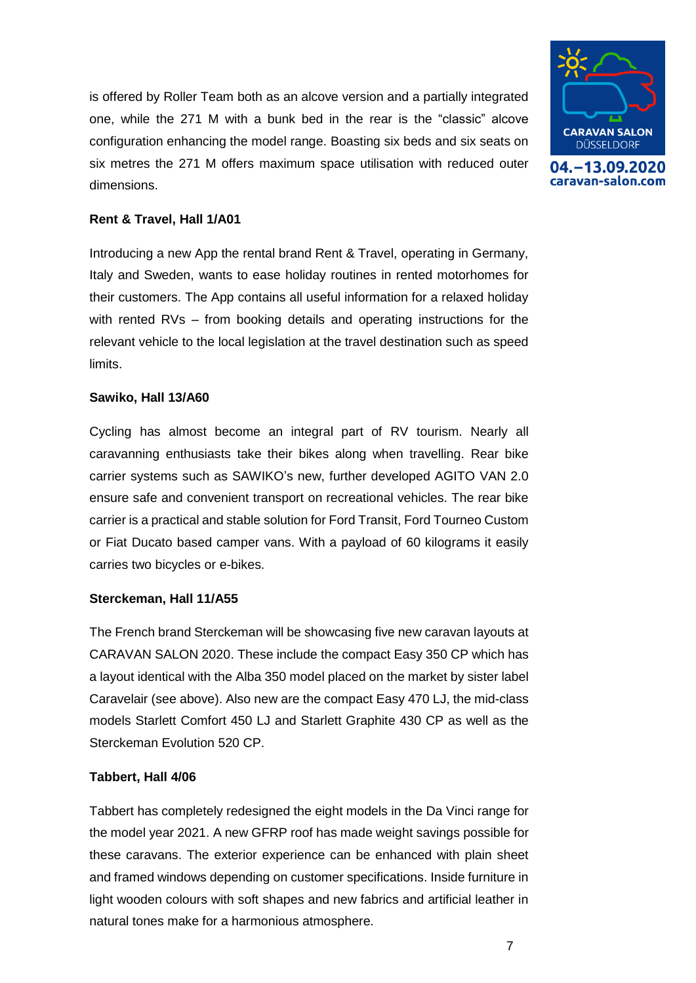is offered by Roller Team both as an alcove version and a partially integrated one, while the 271 M with a bunk bed in the rear is the "classic" alcove configuration enhancing the model range. Boasting six beds and six seats on six metres the 271 M offers maximum space utilisation with reduced outer dimensions.



04. - 13.09.2020 caravan-salon.com

## **Rent & Travel, Hall 1/A01**

Introducing a new App the rental brand Rent & Travel, operating in Germany, Italy and Sweden, wants to ease holiday routines in rented motorhomes for their customers. The App contains all useful information for a relaxed holiday with rented RVs – from booking details and operating instructions for the relevant vehicle to the local legislation at the travel destination such as speed limits.

### **Sawiko, Hall 13/A60**

Cycling has almost become an integral part of RV tourism. Nearly all caravanning enthusiasts take their bikes along when travelling. Rear bike carrier systems such as SAWIKO's new, further developed AGITO VAN 2.0 ensure safe and convenient transport on recreational vehicles. The rear bike carrier is a practical and stable solution for Ford Transit, Ford Tourneo Custom or Fiat Ducato based camper vans. With a payload of 60 kilograms it easily carries two bicycles or e-bikes.

### **Sterckeman, Hall 11/A55**

The French brand Sterckeman will be showcasing five new caravan layouts at CARAVAN SALON 2020. These include the compact Easy 350 CP which has a layout identical with the Alba 350 model placed on the market by sister label Caravelair (see above). Also new are the compact Easy 470 LJ, the mid-class models Starlett Comfort 450 LJ and Starlett Graphite 430 CP as well as the Sterckeman Evolution 520 CP.

## **Tabbert, Hall 4/06**

Tabbert has completely redesigned the eight models in the Da Vinci range for the model year 2021. A new GFRP roof has made weight savings possible for these caravans. The exterior experience can be enhanced with plain sheet and framed windows depending on customer specifications. Inside furniture in light wooden colours with soft shapes and new fabrics and artificial leather in natural tones make for a harmonious atmosphere.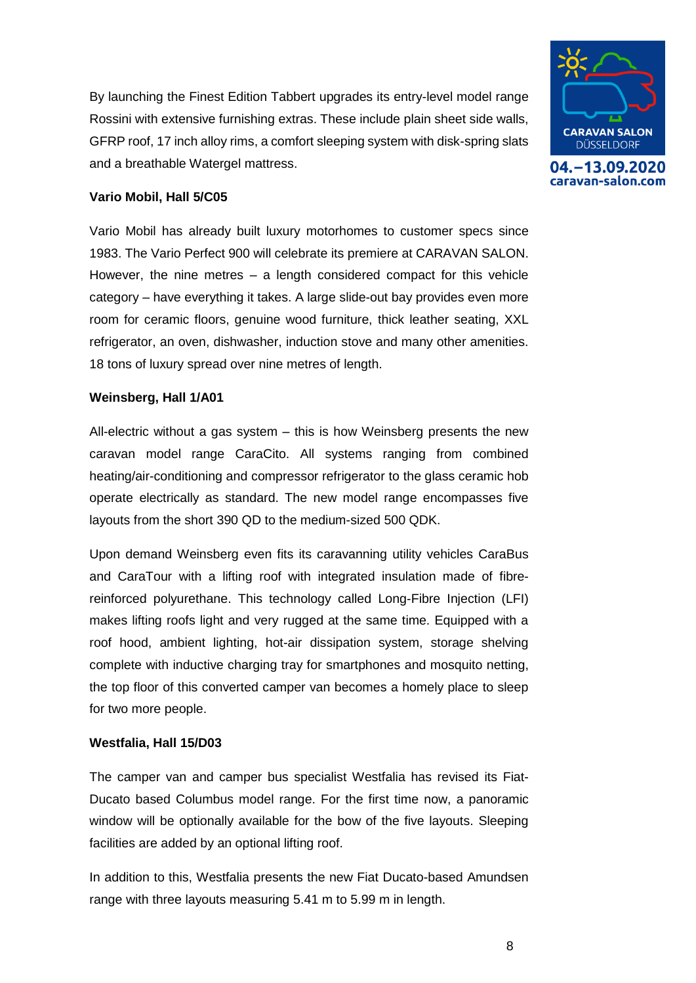By launching the Finest Edition Tabbert upgrades its entry-level model range Rossini with extensive furnishing extras. These include plain sheet side walls, GFRP roof, 17 inch alloy rims, a comfort sleeping system with disk-spring slats and a breathable Watergel mattress.



04. - 13.09.2020 caravan-salon.com

## **Vario Mobil, Hall 5/C05**

Vario Mobil has already built luxury motorhomes to customer specs since 1983. The Vario Perfect 900 will celebrate its premiere at CARAVAN SALON. However, the nine metres  $-$  a length considered compact for this vehicle category – have everything it takes. A large slide-out bay provides even more room for ceramic floors, genuine wood furniture, thick leather seating, XXL refrigerator, an oven, dishwasher, induction stove and many other amenities. 18 tons of luxury spread over nine metres of length.

### **Weinsberg, Hall 1/A01**

All-electric without a gas system – this is how Weinsberg presents the new caravan model range CaraCito. All systems ranging from combined heating/air-conditioning and compressor refrigerator to the glass ceramic hob operate electrically as standard. The new model range encompasses five layouts from the short 390 QD to the medium-sized 500 QDK.

Upon demand Weinsberg even fits its caravanning utility vehicles CaraBus and CaraTour with a lifting roof with integrated insulation made of fibrereinforced polyurethane. This technology called Long-Fibre Injection (LFI) makes lifting roofs light and very rugged at the same time. Equipped with a roof hood, ambient lighting, hot-air dissipation system, storage shelving complete with inductive charging tray for smartphones and mosquito netting, the top floor of this converted camper van becomes a homely place to sleep for two more people.

### **Westfalia, Hall 15/D03**

The camper van and camper bus specialist Westfalia has revised its Fiat-Ducato based Columbus model range. For the first time now, a panoramic window will be optionally available for the bow of the five layouts. Sleeping facilities are added by an optional lifting roof.

In addition to this, Westfalia presents the new Fiat Ducato-based Amundsen range with three layouts measuring 5.41 m to 5.99 m in length.